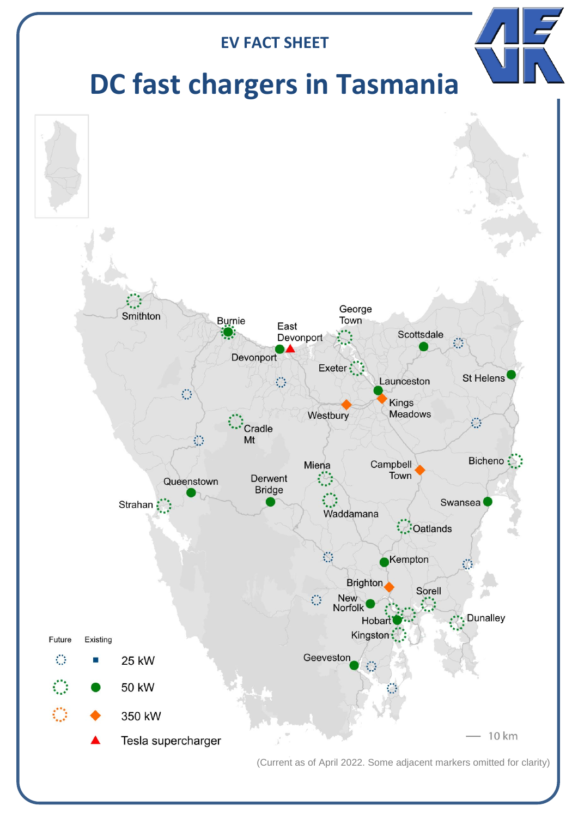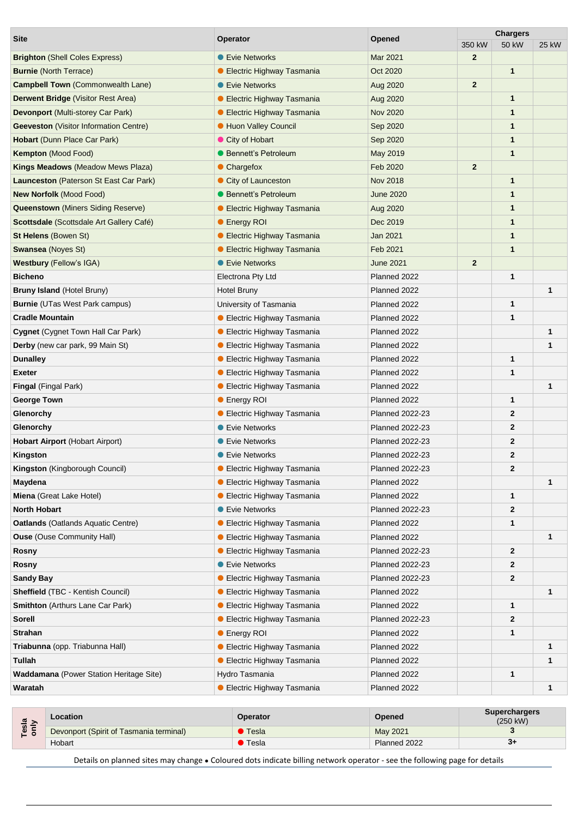| <b>Site</b>                                    | <b>Operator</b>                    | <b>Opened</b>          | <b>Chargers</b> |              |              |
|------------------------------------------------|------------------------------------|------------------------|-----------------|--------------|--------------|
|                                                |                                    |                        | 350 kW          | <b>50 kW</b> | 25 kW        |
| <b>Brighton (Shell Coles Express)</b>          | ● Evie Networks                    | Mar 2021               | $\overline{2}$  |              |              |
| <b>Burnie</b> (North Terrace)                  | <b>• Electric Highway Tasmania</b> | Oct 2020               |                 | $\mathbf{1}$ |              |
| <b>Campbell Town (Commonwealth Lane)</b>       | <b>C</b> Evie Networks             | Aug 2020               | $\overline{2}$  |              |              |
| <b>Derwent Bridge (Visitor Rest Area)</b>      | ● Electric Highway Tasmania        | Aug 2020               |                 | 1            |              |
| Devonport (Multi-storey Car Park)              | ● Electric Highway Tasmania        | <b>Nov 2020</b>        |                 | 1            |              |
| <b>Geeveston</b> (Visitor Information Centre)  | <b>• Huon Valley Council</b>       | Sep 2020               |                 | 1            |              |
| Hobart (Dunn Place Car Park)                   | City of Hobart                     | Sep 2020               |                 | 1            |              |
| Kempton (Mood Food)                            | <b>• Bennett's Petroleum</b>       | May 2019               |                 | 1            |              |
| <b>Kings Meadows (Meadow Mews Plaza)</b>       | • Chargefox                        | Feb 2020               | $\overline{2}$  |              |              |
| Launceston (Paterson St East Car Park)         | City of Launceston                 | <b>Nov 2018</b>        |                 | 1            |              |
| <b>New Norfolk (Mood Food)</b>                 | ● Bennett's Petroleum              | <b>June 2020</b>       |                 | 1            |              |
| <b>Queenstown</b> (Miners Siding Reserve)      | ● Electric Highway Tasmania        | Aug 2020               |                 | 1            |              |
| Scottsdale (Scottsdale Art Gallery Café)       | ● Energy ROI                       | Dec 2019               |                 | 1            |              |
| <b>St Helens (Bowen St)</b>                    | ● Electric Highway Tasmania        | Jan 2021               |                 | 1            |              |
| <b>Swansea</b> (Noyes St)                      | ● Electric Highway Tasmania        | Feb 2021               |                 | 1            |              |
| <b>Westbury (Fellow's IGA)</b>                 | <b>Evie Networks</b>               | <b>June 2021</b>       | $\overline{2}$  |              |              |
| <b>Bicheno</b>                                 | Electrona Pty Ltd                  | Planned 2022           |                 | 1            |              |
| <b>Bruny Island (Hotel Bruny)</b>              | <b>Hotel Bruny</b>                 | Planned 2022           |                 |              | $\mathbf{1}$ |
| <b>Burnie</b> (UTas West Park campus)          | University of Tasmania             | Planned 2022           |                 | 1            |              |
| <b>Cradle Mountain</b>                         | ● Electric Highway Tasmania        | Planned 2022           |                 | 1            |              |
| Cygnet (Cygnet Town Hall Car Park)             | ● Electric Highway Tasmania        | Planned 2022           |                 |              | 1            |
| Derby (new car park, 99 Main St)               | ● Electric Highway Tasmania        | Planned 2022           |                 |              | 1            |
| <b>Dunalley</b>                                | ● Electric Highway Tasmania        | Planned 2022           |                 | 1            |              |
| <b>Exeter</b>                                  | ● Electric Highway Tasmania        | Planned 2022           |                 | 1            |              |
| Fingal (Fingal Park)                           | ● Electric Highway Tasmania        | Planned 2022           |                 |              | $\mathbf{1}$ |
| <b>George Town</b>                             | ● Energy ROI                       | Planned 2022           |                 | 1            |              |
| Glenorchy                                      | ● Electric Highway Tasmania        | <b>Planned 2022-23</b> |                 | $\mathbf{2}$ |              |
| Glenorchy                                      | ● Evie Networks                    | <b>Planned 2022-23</b> |                 | $\mathbf{2}$ |              |
| <b>Hobart Airport (Hobart Airport)</b>         | ● Evie Networks                    | <b>Planned 2022-23</b> |                 | $\mathbf{2}$ |              |
| Kingston                                       | ● Evie Networks                    | <b>Planned 2022-23</b> |                 | 2            |              |
| Kingston (Kingborough Council)                 | <b>Electric Highway Tasmania</b>   | Planned 2022-23        |                 | 2            |              |
| Maydena                                        | ● Electric Highway Tasmania        | Planned 2022           |                 |              | 1            |
| Miena (Great Lake Hotel)                       | ● Electric Highway Tasmania        | Planned 2022           |                 | 1            |              |
| <b>North Hobart</b>                            | ● Evie Networks                    | Planned 2022-23        |                 | 2            |              |
| <b>Oatlands</b> (Oatlands Aquatic Centre)      | ● Electric Highway Tasmania        | Planned 2022           |                 | 1            |              |
| <b>Ouse</b> (Ouse Community Hall)              | <b>Electric Highway Tasmania</b>   | Planned 2022           |                 |              | 1            |
| Rosny                                          | ● Electric Highway Tasmania        | Planned 2022-23        |                 | $\mathbf{2}$ |              |
| Rosny                                          | • Evie Networks                    | Planned 2022-23        |                 | $\mathbf{2}$ |              |
| <b>Sandy Bay</b>                               | ● Electric Highway Tasmania        | Planned 2022-23        |                 | 2            |              |
| <b>Sheffield (TBC - Kentish Council)</b>       | ● Electric Highway Tasmania        | Planned 2022           |                 |              | 1            |
| <b>Smithton</b> (Arthurs Lane Car Park)        | ● Electric Highway Tasmania        | Planned 2022           |                 | 1            |              |
| <b>Sorell</b>                                  | ● Electric Highway Tasmania        | <b>Planned 2022-23</b> |                 | $\mathbf{2}$ |              |
| <b>Strahan</b>                                 | ● Energy ROI                       | Planned 2022           |                 | 1            |              |
| Triabunna (opp. Triabunna Hall)                | ● Electric Highway Tasmania        | Planned 2022           |                 |              | 1            |
| Tullah                                         | ● Electric Highway Tasmania        | Planned 2022           |                 |              | $\mathbf{1}$ |
| <b>Waddamana</b> (Power Station Heritage Site) | Hydro Tasmania                     | Planned 2022           |                 | 1            |              |
| Waratah                                        | ● Electric Highway Tasmania        | Planned 2022           |                 |              | 1            |
|                                                |                                    |                        |                 |              |              |

| ൹<br>$ -$<br>$\overline{w}$ $\overline{z}$ | Location                                | <b>Operator</b> | <b>Opened</b> | <b>Superchargers</b><br>$(250 \text{ kW})$ |
|--------------------------------------------|-----------------------------------------|-----------------|---------------|--------------------------------------------|
|                                            | Devonport (Spirit of Tasmania terminal) | Tesla           | May 2021      |                                            |
|                                            | Hobart                                  | Tesla           | Planned 2022  | -31                                        |

Details on planned sites may change ● Coloured dots indicate billing network operator - see the following page for details